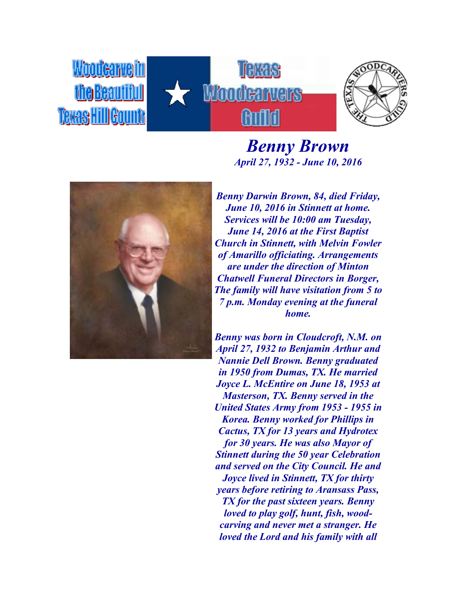

*Benny Brown April 27, 1932 - June 10, 2016*



*Benny Darwin Brown, 84, died Friday, June 10, 2016 in Stinnett at home. Services will be 10:00 am Tuesday, June 14, 2016 at the First Baptist Church in Stinnett, with Melvin Fowler of Amarillo officiating. Arrangements are under the direction of Minton Chatwell Funeral Directors in Borger, The family will have visitation from 5 to 7 p.m. Monday evening at the funeral home.*

*Benny was born in Cloudcroft, N.M. on April 27, 1932 to Benjamin Arthur and Nannie Dell Brown. Benny graduated in 1950 from Dumas, TX. He married Joyce L. McEntire on June 18, 1953 at Masterson, TX. Benny served in the United States Army from 1953 - 1955 in Korea. Benny worked for Phillips in Cactus, TX for 13 years and Hydrotex for 30 years. He was also Mayor of Stinnett during the 50 year Celebration and served on the City Council. He and Joyce lived in Stinnett, TX for thirty years before retiring to Aransass Pass, TX for the past sixteen years. Benny loved to play golf, hunt, fish, woodcarving and never met a stranger. He loved the Lord and his family with all*